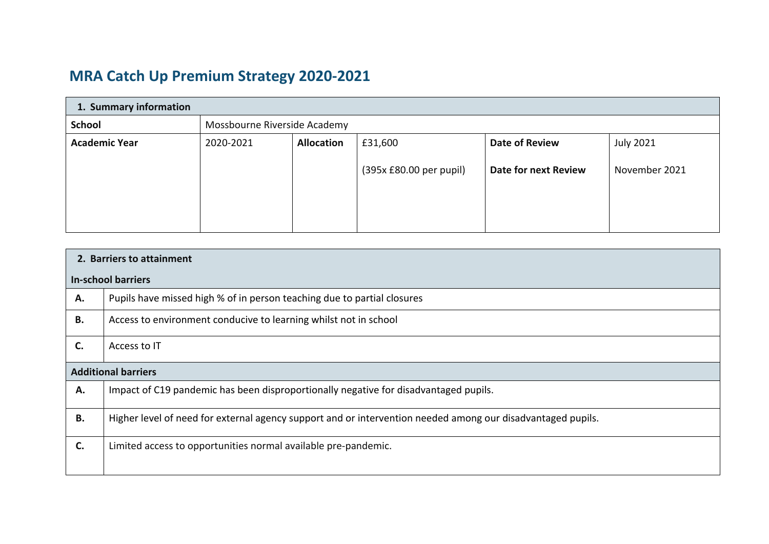## **MRA Catch Up Premium Strategy 2020‐2021**

| 1. Summary information |                              |                   |                         |                       |                  |
|------------------------|------------------------------|-------------------|-------------------------|-----------------------|------------------|
| <b>School</b>          | Mossbourne Riverside Academy |                   |                         |                       |                  |
| <b>Academic Year</b>   | 2020-2021                    | <b>Allocation</b> | £31,600                 | <b>Date of Review</b> | <b>July 2021</b> |
|                        |                              |                   | (395x £80.00 per pupil) | Date for next Review  | November 2021    |

| 2. Barriers to attainment |                                                                                                             |  |  |  |
|---------------------------|-------------------------------------------------------------------------------------------------------------|--|--|--|
|                           | In-school barriers                                                                                          |  |  |  |
| Α.                        | Pupils have missed high % of in person teaching due to partial closures                                     |  |  |  |
| <b>B.</b>                 | Access to environment conducive to learning whilst not in school                                            |  |  |  |
| C.                        | Access to IT                                                                                                |  |  |  |
|                           | <b>Additional barriers</b>                                                                                  |  |  |  |
| Α.                        | Impact of C19 pandemic has been disproportionally negative for disadvantaged pupils.                        |  |  |  |
| <b>B.</b>                 | Higher level of need for external agency support and or intervention needed among our disadvantaged pupils. |  |  |  |
| $\mathsf{C}$ .            | Limited access to opportunities normal available pre-pandemic.                                              |  |  |  |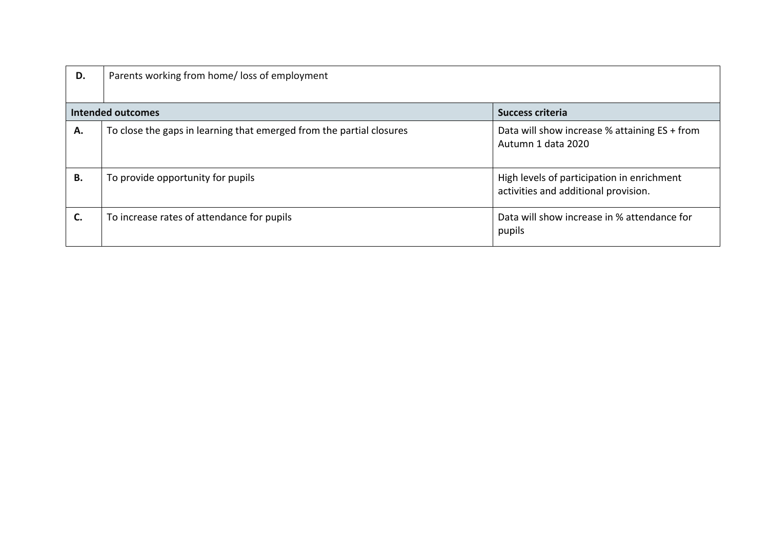| D. | Parents working from home/loss of employment                         |                                                                                    |
|----|----------------------------------------------------------------------|------------------------------------------------------------------------------------|
|    | <b>Intended outcomes</b>                                             | <b>Success criteria</b>                                                            |
| А. | To close the gaps in learning that emerged from the partial closures | Data will show increase % attaining ES + from<br>Autumn 1 data 2020                |
| В. | To provide opportunity for pupils                                    | High levels of participation in enrichment<br>activities and additional provision. |
| C. | To increase rates of attendance for pupils                           | Data will show increase in % attendance for<br>pupils                              |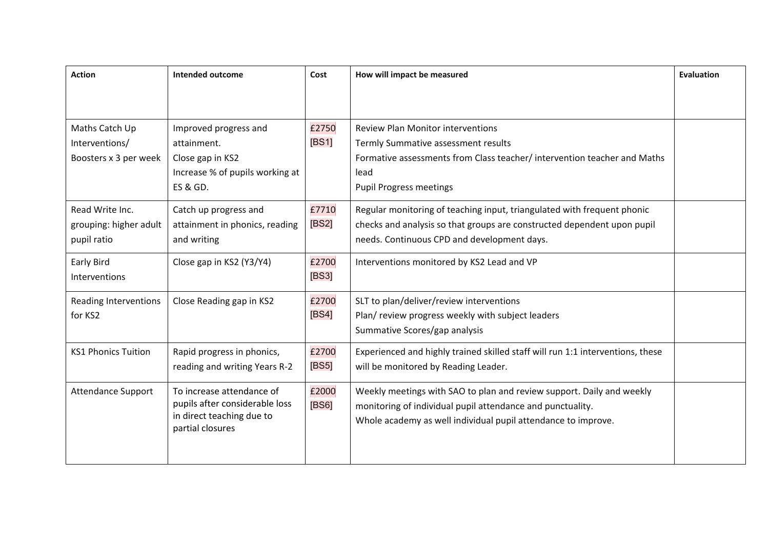| <b>Action</b>                                             | Intended outcome                                                                                                   | Cost           | How will impact be measured                                                                                                                                                                           | <b>Evaluation</b> |
|-----------------------------------------------------------|--------------------------------------------------------------------------------------------------------------------|----------------|-------------------------------------------------------------------------------------------------------------------------------------------------------------------------------------------------------|-------------------|
|                                                           |                                                                                                                    |                |                                                                                                                                                                                                       |                   |
| Maths Catch Up<br>Interventions/<br>Boosters x 3 per week | Improved progress and<br>attainment.<br>Close gap in KS2<br>Increase % of pupils working at<br><b>ES &amp; GD.</b> | £2750<br>[BS1] | <b>Review Plan Monitor interventions</b><br>Termly Summative assessment results<br>Formative assessments from Class teacher/ intervention teacher and Maths<br>lead<br><b>Pupil Progress meetings</b> |                   |
| Read Write Inc.<br>grouping: higher adult<br>pupil ratio  | Catch up progress and<br>attainment in phonics, reading<br>and writing                                             | £7710<br>[BS2] | Regular monitoring of teaching input, triangulated with frequent phonic<br>checks and analysis so that groups are constructed dependent upon pupil<br>needs. Continuous CPD and development days.     |                   |
| <b>Early Bird</b><br>Interventions                        | Close gap in KS2 (Y3/Y4)                                                                                           | £2700<br>[BS3] | Interventions monitored by KS2 Lead and VP                                                                                                                                                            |                   |
| <b>Reading Interventions</b><br>for KS2                   | Close Reading gap in KS2                                                                                           | £2700<br>[BS4] | SLT to plan/deliver/review interventions<br>Plan/review progress weekly with subject leaders<br>Summative Scores/gap analysis                                                                         |                   |
| <b>KS1 Phonics Tuition</b>                                | Rapid progress in phonics,<br>reading and writing Years R-2                                                        | £2700<br>[BS5] | Experienced and highly trained skilled staff will run 1:1 interventions, these<br>will be monitored by Reading Leader.                                                                                |                   |
| Attendance Support                                        | To increase attendance of<br>pupils after considerable loss<br>in direct teaching due to<br>partial closures       | £2000<br>[BS6] | Weekly meetings with SAO to plan and review support. Daily and weekly<br>monitoring of individual pupil attendance and punctuality.<br>Whole academy as well individual pupil attendance to improve.  |                   |